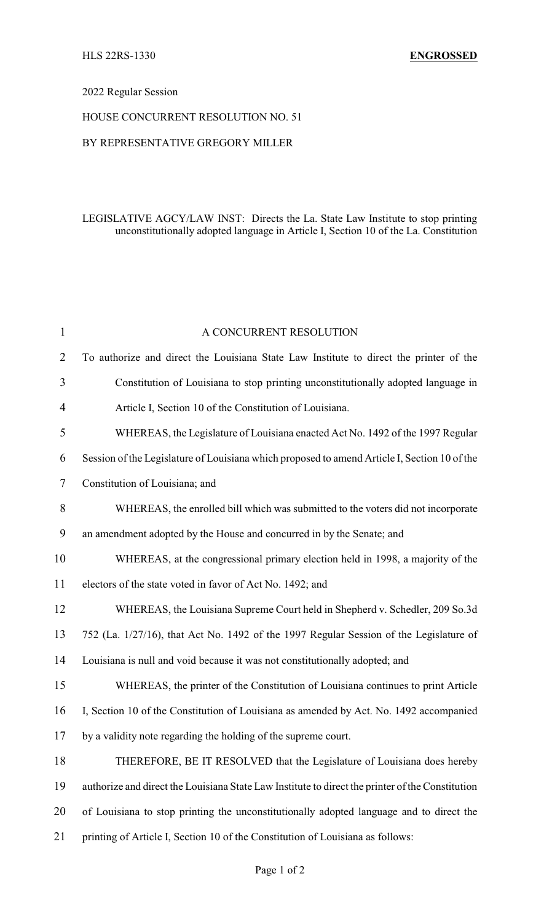## 2022 Regular Session

#### HOUSE CONCURRENT RESOLUTION NO. 51

### BY REPRESENTATIVE GREGORY MILLER

## LEGISLATIVE AGCY/LAW INST: Directs the La. State Law Institute to stop printing unconstitutionally adopted language in Article I, Section 10 of the La. Constitution

| $\mathbf{1}$   | A CONCURRENT RESOLUTION                                                                          |
|----------------|--------------------------------------------------------------------------------------------------|
| $\overline{2}$ | To authorize and direct the Louisiana State Law Institute to direct the printer of the           |
| 3              | Constitution of Louisiana to stop printing unconstitutionally adopted language in                |
| $\overline{4}$ | Article I, Section 10 of the Constitution of Louisiana.                                          |
| 5              | WHEREAS, the Legislature of Louisiana enacted Act No. 1492 of the 1997 Regular                   |
| 6              | Session of the Legislature of Louisiana which proposed to amend Article I, Section 10 of the     |
| 7              | Constitution of Louisiana; and                                                                   |
| 8              | WHEREAS, the enrolled bill which was submitted to the voters did not incorporate                 |
| 9              | an amendment adopted by the House and concurred in by the Senate; and                            |
| 10             | WHEREAS, at the congressional primary election held in 1998, a majority of the                   |
| 11             | electors of the state voted in favor of Act No. 1492; and                                        |
| 12             | WHEREAS, the Louisiana Supreme Court held in Shepherd v. Schedler, 209 So.3d                     |
| 13             | 752 (La. 1/27/16), that Act No. 1492 of the 1997 Regular Session of the Legislature of           |
| 14             | Louisiana is null and void because it was not constitutionally adopted; and                      |
| 15             | WHEREAS, the printer of the Constitution of Louisiana continues to print Article                 |
| 16             | I, Section 10 of the Constitution of Louisiana as amended by Act. No. 1492 accompanied           |
| 17             | by a validity note regarding the holding of the supreme court.                                   |
| 18             | THEREFORE, BE IT RESOLVED that the Legislature of Louisiana does hereby                          |
| 19             | authorize and direct the Louisiana State Law Institute to direct the printer of the Constitution |
| 20             | of Louisiana to stop printing the unconstitutionally adopted language and to direct the          |
| 21             | printing of Article I, Section 10 of the Constitution of Louisiana as follows:                   |